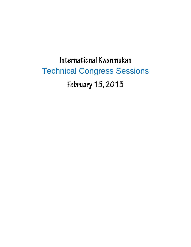International Kwanmukan Technical Congress SessionsFebruary 15, 2013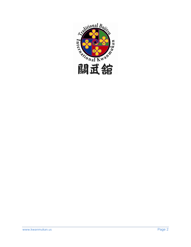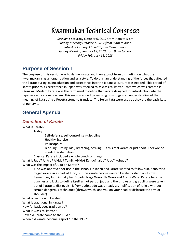*Session 1* Saturday October 6, 2012 from 9 am to 5 pm *Sunday Morning October 7, 2012 from 9 am to noon. Saturday January 12, 2013 from 9 am to noon Sunday Morning January 13, 2013 from 9 am to noon Friday February 16, 2013*

# **Purpose of Session 1**

The purpose of this session was to define karate and then extract from this definition what the Kwanmukan is as an organization and as a style. To do this, an understanding of the forces that affected the karate during its introduction and acceptance into the Japanese culture was needed. This period of karate prior to its acceptance in Japan was referred to as classical karate - that which was created in Okinawa. Modern karate was the term used to define that karate designed for introduction into the Japanese educational system. This session ended by learning how to gain an understanding of the meaning of kata using a Rosetta stone to translate. The Heian kata were used as they are the basic kata of our style.

## **General Agenda**

#### *Definition of Karate*

What is Karate?

Today

Self-defense, self-control, self-discipline

Healthy Exercise

Philosophical

Blocking, Timing, Kiai, Breathing, Striking – is this real karate or just sport. Taekwondo meets this definition

Classical Karate included a whole bunch of things

What is Judo? Jujitsu? Aikido? Tomiki Aikido? Kendo? Iaido? Jodo? Kobudo?

What was the impact of Judo on Karate?

Judo was approved for use in the schools in Japan and karate wanted to follow suit. Kano tried to get karate in as part of Judo, but the karate people wanted karate to stand on its own. Remember, Judo initially had 3 parts, Nage Waza, Ne Waza and Atemi Waza. Karate became punches and kicks to define itself as not part of judo and the throws and grappling were taken out of karate to distinguish it from Judo. Judo was already a simplification of Jujitsu without certain dangerous techniques (throws which land you on your head or dislocate the arm or shoulder).

What is tradition in karate?

What is traditional in Karate?

How far back does tradition go?

What is Classical karate?

How did Karate come to the USA?

When did karate become a sport? In the 1930's.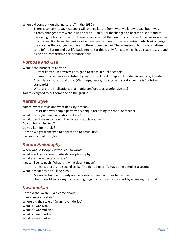When did competition change karate? In the 1930's

There is concern today that sport will change karate from what we know today, but it was already changed from what it was prior to 1930's. Karate changed to become a sport and to have a high school curriculum. There is concern that the new sports rules will change karate, but this is a reaction from the seniors who have been cut out of the refereeing – which will change the sport as the younger set have a different perspective. The inclusion of bunkai is an attempt to redefine karate and put life back into it. But this is only for kata which has already lost ground as being a competitive performance only.

#### *Purpose and Use*

What is the purpose of Karate?

Current karate uses systems designed to teach in public schools.

Progress of class was established by warm-ups, line drills, ippon kumite (waza), kata, kumite. After class - fool around time. (Warm ups, basics, moving basics, kata, kumite is Shotokan standard.)

What are the implications of a martial art/karate as a defensive art? Karate designed to put someone on the ground.

## *Karate Style*

Karate, what is style and what does style mean? Prescribed way people perform technique according to school or teacher What does style mean in relation to kata? What does it mean to train in the style and apply yourself? Do you bunkai in style? Do you kumite in style? How do we get from style to application to actual use? Can you combat in style?

## *Karate Philosophy*

When was philosophy introduced to karate? What was the purpose of introducing philosophy? What are the aspects of karate? Karate ni sente nashi. What is it, what does it mean? It means there is no second strike. The fight is over. To have a first implies a second. What is meant by one killing blow? Means technique properly applied does not need another technique. One killing blow is a myth in sparring to gain attention to the sport by engaging the mind.

## *Kwanmukan*

How did the Kwanmukan come about? Is Kwanmukan a style? Where did the style of Kwanmukan derive? What is Kwan Mu? What is Kwanmukan? What is Kwanmudo? What is Kwanmukai?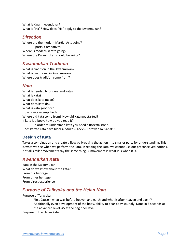What is Kwanmuzendokai? What is "Ha"? How does "Ha" apply to the Kwanmukan?

#### *Direction*

Where are the modern Martial Arts going? Sports, Combatives Where is modern karate going? Where the Kwanmukan should be going?

## *Kwanmukan Tradition*

What is tradition in the Kwanmukan? What is traditional in Kwanmukan? Where does tradition come from?

## *Kata*

What is needed to understand kata? What is kata? What does kata mean? What does kata do? What is kata good for? How is kata exemplified? Where did kata come from? How did kata get started? If kata is a book, how do you read it? In order to understand kata you need a Rosetta stone.

Does karate kata have blocks? Strikes? Locks? Throws? Tai Sabaki?

## **Design of Kata**

Takes a combination and create a flow by breaking the action into smaller parts for understanding. This is what we see when we perform the kata. In reading the kata, we cannot use our preconceived notions. Not all similar movements say the same thing. A movement is what it is when it is.

## *Kwanmukan Kata*

Kata in the Kwanmukan What do we know about the kata? From our heritage From other heritage From direct experience

## *Purpose of Taikyoku and the Heian Kata*

Purpose of Taikyoku

First Cause – what was before heaven and earth and what is after heaven and earth? Additionally even development of the body, ability to bear body soundly. Done in 5 seconds at the advanced level, 45 at the beginner level.

Purpose of the Heian Kata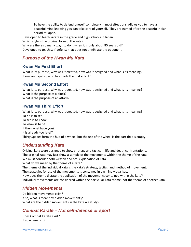To have the ability to defend oneself completely in most situations. Allows you to have a peaceful mind knowing you can take care of yourself. They are named after the peaceful Heian period of Japan.

Developed to teach karate in the grade and high schools in Japan Which style is the original form of the kata? Why are there so many ways to do it when it is only about 80 years old?

Developed to teach self-defense that does not annihilate the opponent.

## *Purpose of the Kwan Mu Kata*

#### **Kwan Mu First Effort**

What is its purpose, why was it created, how was it designed and what is its meaning? If one anticipates, who has made the first attack?

#### **Kwan Mu Second Effort**

What is its purpose, why was it created, how was it designed and what is its meaning? What is the purpose of a block? What is the purpose of an attack?

#### **Kwan Mu Third Effort**

What is its purpose, why was it created, how was it designed and what is its meaning? To be is to see. To see is to know. To know is to be. If then what have you? It is already too late!? Thirty Spokes form the hub of a wheel, but the use of the wheel is the part that is empty.

## *Understanding Kata*

Original kata were designed to show strategy and tactics in life and death confrontations. The original kata may just show a sample of the movements within the theme of the kata. We must consider both written and oral explanation of kata. What do we mean by the theme of a kata? The theme of the individual kata is the kata's strategy, tactics, and method of movement. The strategies for use of the movements is contained in each individual kata How does theme dictate the application of the movements contained within the kata? Individual movements are considered within the particular kata theme, not the theme of another kata.

## *Hidden Movements*

Do hidden movements exist? If so, what is meant by hidden movements/ What are the hidden movements in the kata we study?

## *Combat Karate – Not self-defense or sport*

Does Combat Karate exist? If so where is it?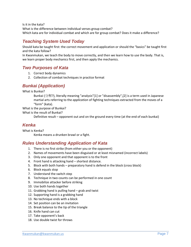Is it in the kata? What is the difference between individual verses group combat? Which kata are for individual combat and which are for group combat? Does it make a difference?

## *Teaching System Used Today*

Should kata be taught first: the correct movement and application or should the "basics" be taught first and the kata follow?

In Kwanmukan, we teach the body to move correctly, and then we learn how to use the body. That is, we learn proper body mechanics first, and then apply the mechanics.

#### *Two Purposes of Kata*

- 1. Correct body dynamics
- 2. Collection of combat techniques in practice format

## *Bunkai (Application)*

What is Bunkai?

Bunkai (分解?), literally meaning "analysis"[1] or "disassembly",[2] is a term used in Japanese martial arts referring to the *application* of fighting techniques extracted from the moves of a "form" (kata).

What is the purpose of Bunkai?

What is the result of Bunkai?

Definitive result – opponent out and on the ground every time (at the end of each bunkai)

## *Kenka*

What is Kenka?

Kenka means a drunken brawl or a fight.

#### *Rules Understanding Application of Kata*

- 1. There is no first strike (from either you or the opponent)
- 2. Names of movements have been disguised or at least misnamed (incorrect labels)
- 3. Only one opponent and that opponent is to the front
- 4. Front hand is attacking hand shortest distance.
- 5. Block with both hands preparatory hand is defend in the block (cross block)
- 6. Block equals stop
- 7. Understand the switch step
- 8. Technique in two counts can be performed in one count
- 9. Immobilize attacker before striking
- 10. Use both hands together
- 11. Grabbing hand is pulling hand grab and twist
- 12. Supporting hand is a grabbing hand
- 13. No technique ends with a block
- 14. Set position can be an invitation
- 15. Break balance to the tip of the triangle
- 16. Knife hand can cut
- 17. Take opponent's back
- 18. Use double twist for throws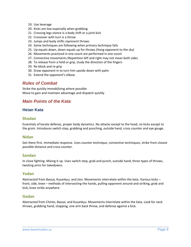- 19. Use leverage
- 20. Kicks are low especially when grabbing
- 21. Crossing legs stance is a body shift or a joint kick
- 22. Crossover with turn is a throw
- 23. Jumps and body shifts represent throws
- 24. Some techniques are following when primary technique fails
- 25. Up equals down, down equals up for throws (Hang opponent to the sky)
- 26. Movements practiced in one count are performed in one count
- 27. Connective movements (Repetition left and right may not mean both sides
- 28. To release from a hold or grip, study the direction of the fingers
- 29. Re-block and re-grip
- 30. Draw opponent in to turn him upside down with palm
- 31. Extend the opponent's elbow.

#### *Rules of Combat*

Strike the quickly immobilizing where possible Move to gain and maintain advantage and dispatch quickly

## *Main Points of the Kata*

#### **Heian Kata**

#### **Shodan**

Essentials of karate defense, proper body dynamics. No attacks except to the head, no kicks except to the groin. Introduces switch step, grabbing and punching, outside hand, cross counter and eye gouge.

#### **Nidan**

Get there first. Immediate response. Uses counter technique, connective techniques, strike from closest possible distance and cross counter.

#### **Sandan**

In-close fighting. Mixing it up. Uses switch step, grab and punch, outside hand, three types of throws, twisting arms for takedowns.

#### **Yodan**

Abstracted from Bassai, Kusankyu, and Jion. Movements interrelate within the kata. Various kicks – front, side, knee – methods of intersecting the hands, pulling opponent around and striking, grab and kick, knee strike anywhere.

#### **Godan**

Abstracted from Chinto, Bassai, and Kusankyu. Movements interrelate within the kata. Look for neck throws, grabbing hand, stopping, one arm back throw, and defense against a kick.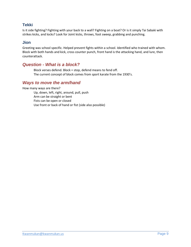#### **Tekki**

Is it side fighting? Fighting with your back to a wall? Fighting on a boat? Or is it simply Tai Sabaki with strikes kicks, and locks? Look for Joint kicks, throws, foot sweep, grabbing and punching.

#### **Jion**

Greeting was school specific. Helped prevent fights within a school. Identified who trained with whom. Block with both hands and kick, cross counter punch, front hand is the attacking hand, and lure, then counterattack.

#### *Question - What is a block?*

Block verses defend. Block = stop, defend means to fend off. The current concept of block comes from sport karate from the 1930's.

#### *Ways to move the arm/hand*

How many ways are there?

Up, down, left, right, around, pull, push Arm can be straight or bent Fists can be open or closed Use front or back of hand or fist (side also possible)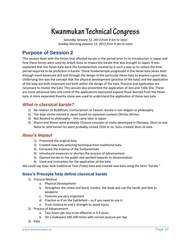*Saturday January 12, 2013 from 9 am to noon Sunday Morning January 13, 2013 from 9 am to noon*

# **Purpose of Session 2**

This session dealt with the forces that affected karate in the period prior to its introduction in Japan and how these forces were used by Ankoh Itosu to impact the karate that was brought to Japan. It was explained that the Heian Kata were the fundamentals created by is such a way as to reduce the time period required to be proficient in karate. Those fundamentals progressed in the Heian kata series both through more advanced skill and through the design of the particular Heian kata to express a given idea. Underlying this was the concept that the physical development (practice of the kata) and the application of the kata are both important and both within the design of the kata. Practice and application are necessary to master the kata. This session also presented the application of Jion and Tekki Sho. These are more advanced kata and some of the applications expressed expand those learned from the Heian kata. A more expanded Rosetta stone was used to understand the application of these two kata.

#### *What is classical karate?*

- 1) No relation to Buddhism, Confucianism or Taoism. Karate is not religion or philosophy.
- 2) The dojo shrine started in Japan based on Japanese customs (Shinto Shrine)
- 3) Not Related to philosophy this came later in Japan
- 4) Shorin and Shorei were probably Chinese concepts or styles developed in Okinawa. Shuri-te and Naha-te (and tomari-te) were probably coined 1926 or so. Itosu created Shuri-te kata.

## *Itosu's Impact*

- 1) Preserved the original kata
- 2) Created new kata selecting technique from traditional kata
- 3) Extracted the essence of the fundamentals
- 4) Introduced measures to shorten the process of advancement
- 5) Opened karate to the public and worked towards its dissemination
- 6) Used oral instruction for the application of the kata

We could say Itosu took traditional Tote (Tode) kata and created new kata using the term "karate."

#### **Itosu's Precepts help define classical karate**

- 1) Practice Method
	- a. Physical Development
		- b. Strengthen the sinew and bond, harden, the body and use the hands and feet as weapons
		- c. Postures are very important
		- d. Practice as if on the battlefield as if you need to use it.
		- e. Train relative to one's strength to avoid injury
- 2) Process of Advancement
	- a. Two hours per day to be effective in 3-4 years.
	- b. Hit a makiwara 100-200 times with correct posture per day
- 3) Kata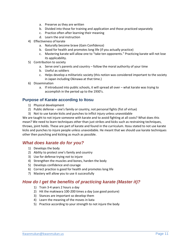- a. Preserve as they are written
- b. Divided into those for training and application and those practiced separately
- c. Practice often after learning their meaning
- d. Learn the oral instruction
- 4) Effectiveness of karate
	- a. Naturally become brave (Gain Confidence)
	- b. Good for health and promotes long life (if you actually practice)
	- c. Mastering karate will allow one to "take ten opponents." Practicing karate will not lose its applicability.
- 5) Contribution to society
	- a. Serve one's parents and country follow the moral authority of your time
	- b. Useful as soldiers
	- c. Helps develop a militaristic society (this notion was considered important to the society in Japan including Okinawa at that time.)
- 6) Dissemination
	- a. If introduced into public schools, it will spread all over what karate was trying to accomplish in the period up to the 1930's.

#### **Purpose of Karate according to Itosu**

- 1) Physical development
- 2) Public defense one's family or country, not personal fights (fist of virtue)
- 3) Not to use karate kicks and punches to inflict injury unless unavoidable

We are taught to not injure someone with karate and to avoid fighting at all costs? What does this mean? We need to learn techniques other than just strikes and kicks such as restraining techniques, throws, joint holds. These are part of karate and found in the curriculum. Itosu stated to not use karate kicks and punches to injure people unless unavoidable. He meant that we should use karate techniques other then punching and kicking as much as possible.

## *What does karate do for you?*

- 1) Develops the body
- 2) Ability to protect one's family and country
- 3) Use for defense trying not to injure
- 4) Strengthen the muscles and bones, harden the body
- 5) Develops confidence and courage
- 6) Correct practice is good for health and promotes long life
- 7) Mastery will allow you to use it successfully

#### *How do I get the benefits of practicing karate (Master it)?*

- 1) Train 3-4 years 2 hours a day
- 2) Hit the makiwara 100-200 times a day (use good posture)
- 3) Stances are important so develop them
- 4) Learn the meaning of the moves in kata
- 5) Practice according to your strength to not injure the body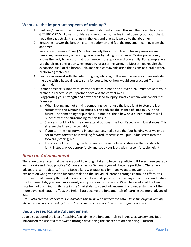#### **What are the important aspects of training?**

- 1) Postures/Stances –The upper and lower body must connect through the core. The core is GET FROM PAM. Lower shoulders and relax having the feeling of opening out your chest. Keep the back straight, strength in the legs and energy lowered to the abdomen.
- 2) Breathing Lower the breathing to the abdomen and feel the movement coming from the abdomen.
- 3) Relaxation (Remove Power) Muscles can only flex and contract taking power means removing power away or relaxing. You relax by taking power away. Taking power away allows the body to relax so that it can move more quickly and powerfully. For example, we use the biceps contraction when grabbing or asserting strength. Most strikes require the expansion (flex) of the biceps. Relaxing the biceps avoids using the biceps as a brake when performing technique.
- 4) Practice in earnest with the intent of going into a fight. If someone were standing outside the dojo with a baseball bat waiting for you to leave, how would you practice? Train with that mind.
- 5) Partner practice is important. Partner practice is not a social event. You must strike at your partner in earnest so your partner develops the correct mind.
- 6) Exaggerating your strength and power can lead to injury. Practice within your capabilities. Examples,
	- a. When kicking and not striking something, do not use the knee joint to stop the kick, retract with the surrounding muscle. This reduces the chance of knee injury in the future. The same thing for punches. Do not lock the elbow on a punch. Withdraw all punches with the surrounding muscle tissue.
	- b. Stances should not let the knee extend out over the foot. Especially in low stances. This stresses the knee unacceptably.
	- c. If you turn the hips forward in your stances, make sure the foot holding your weight is set to move forward as in walking forward, otherwise you put undue stress into the forward (bracing) hip.
	- d. Forcing a kick by turning the hips creates the same type of stress in the standing hip joint. Instead, pivot appropriately and keep your kicks within a comfortable height.

## *Itosu on Advancement*

There are two adages that we hear about how long it takes to become proficient. It takes three years to learn a kata and if you practice 2-3 hours a day for 3-4 years you will become proficient. These two adages are contradictory. Prior to Itosu a kata was practiced for many years to master it. Little explanation was given in the fundamentals and the individual learned through continued effort. Itosu expressed that learning the fundamental concepts would speed up the training curve. If you understood the fundamentals, you could more easily and quickly learn the basics. When he developed the Heian kata he had this mind: Unify kata in the Shuri styles to speed advancement and understanding of the more advanced kata. In effect, the Heian kata became the fundamentals of learning the more advanced kata.

*(Itosu also created other kata. He indicated this by how he named the kata. Dai is the original version, Sho a new version created by Itosu. This allowed the preservation of the original version.)*

#### **Judo verses Karate Advancement**

Judo also adopted the idea of teaching/explaining the fundamentals to increase advancement. Judo introduced the use of a foot sweep through developing the concept of off balancing – kuzushi.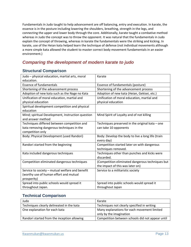Fundamentals in Judo taught to help advancement are off balancing, entry and execution. In karate, the essence is in the posture including lowering the shoulders, breathing, strength in the legs, and connecting the upper and lower body through the core. Additionally, karate taught a combative method whereas in Judo the concept was to throw the opponent. It was natural that the fundamentals in Judo explain the concept of throwing, whereas in karate the fundamentals were the striking and kicking. In karate, use of the Heian kata helped learn the technique of defense (not individual movements although a more simple kata allowed the student to master correct body movement fundamentals in an easier environment.)

## *Comparing the development of modern karate to judo*

#### **Structural Comparison**

| Judo - physical education, martial arts, moral    | Karate                                            |
|---------------------------------------------------|---------------------------------------------------|
| education.                                        |                                                   |
| <b>Essence of fundamentals</b>                    | Essence of fundamentals (posture)                 |
| Shortening of the advancement process             | Shortening of the advancement process             |
| Adoption of new kata such as the Nage no Kata     | Adoption of new kata (Heian, Gekisei, etc.)       |
| Unification of moral education, martial and       | Unification of moral education, martial and       |
| physical education                                | physical education                                |
| Spiritual development competition and physical    |                                                   |
| education                                         |                                                   |
| Mind; spiritual Development, Instruction question | Mind Spirit of Loyalty and of not killing         |
| and answer method                                 |                                                   |
| Techniques differed between competition and       | Techniques preserved in the original kata $-$ one |
| kata removing dangerous techniques in the         | can take 10 opponents                             |
| competition only                                  |                                                   |
| Body: Physical Development (used Randori)         | Body: Develop the body to live a long life (train |
|                                                   | every day)                                        |
| Randori started from the beginning                | Competition started later on with dangerous       |
|                                                   | techniques removed.                               |
| Kata included dangerous techniques                | Techniques other than punches and kicks were      |
|                                                   | discarded.                                        |
| Competition eliminated dangerous techniques       | (Competition eliminated dangerous techniques but  |
|                                                   | the impact of this was later on)                  |
| Service to society - mutual welfare and benefit   | Service to a militaristic society                 |
| (worthy use of human effort and mutual            |                                                   |
| prosperity)                                       |                                                   |
| Spread into public schools would spread it        | Spread into public schools would spread it        |
| throughout Japan.                                 | throughout Japan                                  |

## **Technical Comparison**

| Judo                                        | Karate                                           |
|---------------------------------------------|--------------------------------------------------|
| Techniques clearly delineated in the kata   | Techniques not clearly specified in writing      |
| One explanation for each kata               | Many explanations for each movement limited      |
|                                             | only by the imagination                          |
| Randori started from the inception allowing | Competition between schools did not appear until |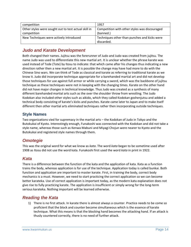| competition                                          | 1957                                          |
|------------------------------------------------------|-----------------------------------------------|
| Other styles were sought out to test actual skill in | Competition with other styles was discouraged |
| competition                                          | (banned.)                                     |
| New Techniques were actively introduced              | Techniques other than punches and kicks were  |
|                                                      | discarded.                                    |

## *Judo and Karate Development*

Both changed their names. Jujitsu was the forerunner of Judo and Judo was created from jujitsu. The name Judo was used to differentiate this new martial art. It is unclear whether the phrase karate was used instead of Tode (Tote) by Itosu to indicate: that which came after his changes thus indicating a new direction rather then a new martial art. It is possible the change may have had more to do with the Chinese Sino wars. We can think of Tode as classical and karate as referring to traditional karate as we know it. Judo did incorporate technique appropriate for a barehanded martial art and did not develop those techniques for use against full armor or while carrying a sword, which was the backbone of jujitsu technique as these techniques were not in keeping with the changing times. Karate on the other hand did not have major changes in technical knowledge. Thus Judo was created as a synthesis of many different barehanded martial arts such as the over the shoulder throw from wrestling. The Judo Kodokan also included other styles such as aikido, which they called Kodokan goshenjutsu and added a technical body consisting of karate's kicks and punches. Karate came later to Japan and to make itself different then other martial arts eliminated techniques rather then incorporating outside techniques.

#### **Style Names**

Two organizations vied for supremacy in the martial arts – the Kodokan of Judo in Tokyo and the Butokukai of Kyoto. Interestingly enough, Funakoshi was connected with the Kodokan and did not take a style name, whereas those such as Kenwa Mabuni and Miyagi Chojun were nearer to Kyoto and the Butokukai and registered style names through them.

## *Omotegie*

This was the original word for what we know as *kata*. The word *kata* began to be sometime used after 1908 as Itosu did not use the word kata. Funakoshi first used the word *kata* in print in 1922.

## *Kata*

There is a difference between the function of the kata and the application of kata. Kata as a function trains the body, whereas application is for use of the technique. Application today is called bunkai. Both function and application are important to master karate. First, in training the body, correct body mechanics is a must. However, we need to start practicing the correct application so we can become better karateka. Use of correct application is important today, as the modern kata explanation does not give rise to fully practicing karate. The application is insufficient or simply wrong for the long-term serious karateka. Nothing important will be learned otherwise.

## *Reading the Kata*

1) There is no first attack. In karate there is almost always a counter. Practice needs to be come so proficient that the block and counter become simultaneous which is the essence of karate technique. What this means is that the blocking hand becomes the attacking hand. If an attack is thusly countered correctly, there is no need of further attack.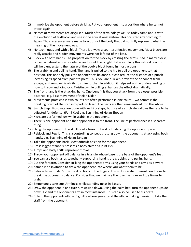- 2) Immobilize the opponent before striking. Put your opponent into a position where he cannot attack again.
- 3) Names of movements are disguised. Much of the terminology we use today came about with the evolution of textbooks and use in the educational system. This occurred after coming to Japan. Thus references were made to actions of the body that did not fully represent what the meaning of the movement was.
- 4) No techniques end with a block. There is always a counteroffensive movement. Most blocks are really attacks and hidden movements were not left out of the kata.
- 5) Block with both hands. The preparation for the block by crossing the arms (used in many blocks) is itself a natural action of defense and should be taught that way. Using this natural reaction will help understand the nature of the double block found in most actions.
- 6) The grabbing and pulling hand. The hand is pulled to the hip to pull the opponent to that position. This not only pulls the opponent off balance but can reduce the distance of a punch increasing its speed from point to point. Thus, you are quicker, prevent the opponent from escape, and remove his ability to strike further. In addition it helps set up the understanding of how to throw and joint lock. Twisting while pulling enhances the effect dramatically.
- 7) The front hand is the attacking hand. One benefit is that you attack from the closest possible distance. e.g. First movement of Heian Nidan
- 8) Movements practiced in two counts are often performed in one count. Two counts is the breaking down of the step into parts to learn. The parts are then reassembled into the whole.
- 9) Switch Step. Most kata are done with walking steps, but use of a stitch step allows the kata to be adjusted for defense. (Fumi Kae) e.g. Beginning of Heian Shodan
- 10) Kicks are performed low while grabbing the opponent.
- 11) There is one opponent and that opponent is to the front. The line of performance is a separate thing.
- 12) Hang the opponent to the ski. Use of a forearm twist off balancing the opponent upward.
- 13) Reblock and Regrip. This is a controlling concept shutting down the opponents attack using both hands. e.g. Beginning of Heian Sandan
- 14) Take the opponents back. Most difficult position for the opponent.
- 15) Cross legged stance represents a body shift or a joint kick.
- 16) Jumps and body shifts represent throws.
- 17) Throw your opponent off balance in a triangle whose base is the base of the opponent's feet.
- 18) You can use both hands together supporting hand is the grabbing and pulling hand.
- 19) Cut the forearm. Consider striking the opponents arms using your hands and arms as a sword.
- 20) Kamae is an invitation to draw the opponent into where you want them to be.
- 21) Release from holds. Study the directions of the fingers. This will indicate different conditions to break the opponents balance. Consider that we mainly either use the index or little finger to grab.
- 22) Empty one's sake cup. Armlocks while standing up as in Bassai.
- 23) Draw the opponent in and turn him upside down. Using the palm heel turn the opponent upside down. Extend the opponents arm in most instances. This can also be used to dislocate.
- 24) Extend the opponents elbow. E.g. Jitte where you extend the elbow making it easier to take the staff from the opponent.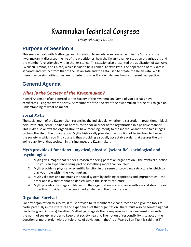*Friday February 16, 2013*

## **Purpose of Session 3**

This session dealt with Mythology and its relation to society as expressed within the Society of the Kwanmukan. It discussed the life of the practitioner, how the Kwanmukan exists as an organization, and the member's relationship within that existence. This session also presented the application of Gankaku (Wanshu, Amhoc, and Chinto) which is said to be a Tomari-Te style kata. The application of this kata is separate and distinct from that of the Heian Kata and the kata used to create the Heian kata. While there may be similarities, they are not intentional as Gankaku derives from a different perspective.

# **General Agenda**

## *What is the Society of the Kwanmukan?*

Hanshi Anderson often referred to the Society of the Kwanmukan. Some of you perhaps have certificates using the word society. As members of the Society of the Kwanmukan it is helpful to gain an understanding of what he meant.

#### **Social Myth**

The social myth of the Kwanmukan reconciles the individual, l whether it is a student, practitioner, black belt, instructor, sensei, shihan or hanshi, to the social order of the organization in a positive manner. This myth also allows the organization to have meaning (merit) to the individual and these two images prolong the life of the organization. Myths historically provided the function of telling how to live within the society in which you find yourself, thus providing a socially acceptable order that assures the ongoing viability of that society - in this instance, the Kwanmukan.

#### **Myth provides 4 functions – mystical, physical (scientific), sociological and psychological**

- 1. Myth gives images that render a reason for being part of an organization the mystical function – so you can experience being part of something more than yourself.
- 2. Myth provides a physical or scientific function in the sense of providing a structure in which to play your role within the Kwanmukan.
- 3. Myth validates and maintains the social system by defining proprieties and improprieties the order and law that cannot be denied within the societal structure.
- 4. Myth provides the stages of life within the organization in accordance with a social structure or order that provides for the continued existence of the organization.

#### **Organism Survival**

For any organization to survive, it must provide to its members a clear direction and give the tools to participate fully in the interests and experiences of that organization. There must also be something that binds the group (society) together. Mythology suggests that a responsible individual must stay within the norm of society in order to keep that society healthy. The notion of responsibility is to accept the question of moral order without tolerance of deviation. In the Art of War by Sun Tzu it is said that if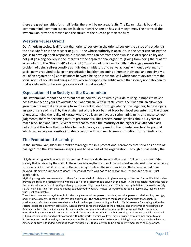there are great penalties for small faults, there will be no great faults. The Kwanmukan is bound by a common mind (common aspersions [sic]) as Hanshi Anderson has said many times. The norms of the Kwanmukan provide direction and the structure the rules to participate fully.

#### **Western verses Orient**

Our American society is different than oriental society. In the oriental society the virtue of a student is the absolute faith in the teacher or guru – one whose authority is absolute. In the American society the goal is to develop a self-responsible individual who can act from their own sense of responsibility and not just go along docilely in the interests of the organizational organism. (Going from being the "I want" as an infant to the "thou shalt" of an adult.) This clash of Individuality with mythology presents the problem of being self-responsible as individuals (initiators of creative actions) without deviating from social norms required to keep an organization healthy (becoming a human individual and not simply a cell of an organization.) Conflict arises between being an individual cell which cannot deviate from the social norm of society and being individually self-responsible entity within that society not beholden to that society without becoming a cancer cell to that society.<sup>1</sup>

#### **Expectation of the Society of the Kwanmukan**

The Kwanmukan cannot and does not define how you exist within your daily living. It hopes to have a positive impact on your life outside the Kwanmukan. Within its structure, the Kwanmukan allows for growth in the martial arts passing from the infant student through latency (the beginner) to developing an ego or sense of I (self) by the attainment of the black belt. At black belt level you enter into the phase of understanding the reality of karate where you learn to have a discriminating mind and make correct judgments, thereby becoming mature practitioners. This process normally takes about 3-4 years to reach black belt and 10 to 12 years after that to reach the maturity of the higher level 4th-5th black belts. It is at this time that the black belt in America, as opposed to the oriental, reaches the point at which he can be a responsible initiator of action with no need to seek affirmation from an instructor.

#### **The Promotional Assembly**

l

In the Kwanmukan, black belt ranks are recognized in a promotional ceremony that serves as a "rite of passage" into the Kwanmukan shaping one to be a part of the organization. Through our assembly the

 $1$  Mythology suggests how we relate to others. They provide the rules or direction to follow to be a part of the society that is driven by the myth. In the old societal myths the role of the individual was defined from dependency to responsibility to senility to death. That is, the myth defined the role in society so that man is carried from beyond infancy to adulthood to death. The goal of myth was not to be reasonable, responsible or true – just comfortable.

Mythology suggests how we relate to others for the survival of society and to give meaning or direction for our life. Myths also provide the rules or direction to follow to be a part of the society that is driven by the myth. In the old societal myths the role of the individual was defined from dependency to responsibility to senility to death. That is, the myth defined the role in society so that man is carried from beyond infancy to adulthood to death. The goal of myth was not to be reasonable, responsible or true – just comfortable.

The rational man has no myth to uphold. Maslow gives us values: personal survival, security, personal relationships, prestige, and self-development. These are not mythological values. The myth provides the reason for living such that society is predominant. Maslow's values are what you live for when you have nothing to live for. Myth's reasons for staying within the societal order are a common aspiration, such as providing for the survival of the organism, and the terror of not doing so. In American culture, the reality or scientific becomes the predominating development of the individual. That is, within our educational system we teach a scientific method. This is at a disaccord with myth. Becoming a mature responsible individual still requires an understanding of how to fit within the world in which we live. This is provided by our commitment to our institutions and not directed by society as a whole. This is some sense is the freedom of living in our society and for which our American culture is founded. Accepting those myths/beliefs that allow you to be a productive member of society, or not.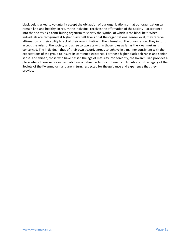black belt is asked to voluntarily accept the obligation of our organization so that our organization can remain knit and healthy. In return the individual receives the affirmation of the society – acceptance into the society as a contributing organism to society the symbol of which is the black belt. When individuals are recognized at higher black belt levels or at the organizational sensei level, they receive affirmation of their ability to act of their own initiative in the interests of the organization. They in turn, accept the rules of the society and agree to operate within those rules as far as the Kwanmukan is concerned. The individual, thus of their own accord, agrees to behave in a manner consistent with the expectations of the group to insure its continued existence. For those higher black belt ranks and senior sensei and shihan, those who have passed the age of maturity into seniority, the Kwanmukan provides a place where these senior individuals have a defined role for continued contributions to the legacy of the Society of the Kwanmukan, and are in turn, respected for the guidance and experience that they provide.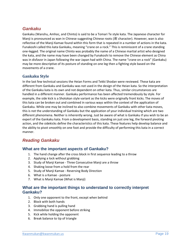## *Gankaku*

Gankaku (Wanshu, Amhoc, and Chinto) is said to be a Tomari Te style kata. The Japanese character for Manji is pronounced as wan in Chinese suggesting Chinese roots (卍 character). However, wan is also reflective of the Manji Kamae found within this form that is repeated in a number of actions in the kata. Funakoshi called this kata Gankaku, meaning "crane on a rock." This is reminiscent of a crane standing one-legged. The original name Chinto was probably the name of a Chinese martial artist who designed the kata, and the name may have been changed by Funakoshi to remove the Chinese element as China was in disfavor in Japan following the war Japan had with China. The name "crane on a rock" (Gankaku) may be more descriptive of its posture of standing on one leg then a fighting style based on the movements of a crane.

#### **Gankaku Style**

In the last few technical sessions the Heian Forms and Tekki Shodan were reviewed. These kata are different from Gankaku and Gankaku was not used in the design of the Heian kata. So the interpretation of the Gankaku kata is its own and not dependent on other kata. Thus, similar circumstances are handled in a different manner. Gankaku performance has been affected tremendously by style. For example, the side kick is a Shotokan style variant as the kicks were originally front kicks. The moves of this kata can be broken out and combined in various ways within the context of the application of Gankaku. While one may be inclined to also combine movements of Gankaku with other kata moves, this is not the understanding of Gankaku but the application of your individual training which are two different phenomena. Neither is inherently wrong. Just be aware of what is Gankaku if you wish to be an expert of the Gankaku kata. From a development basis, standing on just one leg, the forward pivoting action, and the sidekicks define the characteristics of this kata. These features help develop balance and the ability to pivot smoothly on one foot and provide the difficulty of performing this kata in a correct manner.

## *Reading Gankaku*

#### **What are the important aspects of Gankaku?**

- 1. The hand change after the cross block in first sequence leading to a throw
- 2. Applying a lock without grabbing
- 3. Study of Manji Kamae Three Consecutive Manji are a throw
- 4. Shaking loose from a hold from the rear
- 5. Study of Manji Kamae Reversing Body Direction
- 6. What is a Kamae posture
- 7. What is Manji Kamae (What is Manji)

#### **What are the important things to understand to correctly interpret Gankaku?**

- 1. Only one opponent to the front, except when behind
- 2. Block with both hands
- 3. Grabbing hand is pulling hand
- 4. Immobilize the opponent before striking
- 5. Kick while holding the opponent
- 6. Break balance to tip of triangle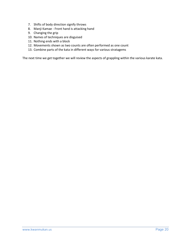- 7. Shifts of body direction signify throws
- 8. Manji Kamae Front hand is attacking hand
- 9. Changing the grip
- 10. Names of techniques are disguised
- 11. Nothing ends with a block
- 12. Movements shown as two counts are often performed as one count
- 13. Combine parts of the kata in different ways for various stratagems

The next time we get together we will review the aspects of grappling within the various karate kata.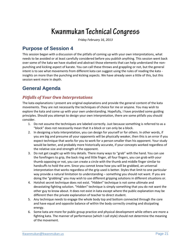*Friday February 16, 2013*

## **Purpose of Session 4**

This session began with a discussion of the pitfalls of coming up with your own interpretations, what needs to be avoided or at least carefully considered before you publish anything. This session went back over some of the kata we have studied and abstract those elements that can help understand the nonpunching and kicking aspect of karate. You can call these throws and grappling or not, but the general intent is to see what movements from different kata can suggest using the rules of reading the kata insights on more than the punching and kicking aspects. We have already seen a little of this, but this session went more in depth.

# **General Agenda**

## *Pitfalls of Your Own Interpretations*

The kata explanations I present are original explanations and provide the general content of the kata movements. They are not necessarily the techniques of choice for me or anyone. You may wish to explore the kata and come up with your own understanding. Hopefully, I have provided some guiding principles. Should you attempt to design your own interpretation, there are some pitfalls you should consider.

- 1. Do not assume the techniques are labeled correctly. Just because something is referred to as a "block" does not necessarily mean that it a block or can only be a block.
- 2. In designing a kata interpretation, you can design for yourself or for others. In other words, if you are big and presume all your opponents will be physically weaker, then this is an error if you expect technique that works for you to work for a person smaller than his opponent. Your study would be better, and probably more historically accurate, if your concepts worked regardless of the relative size and strength of the opponent.
- 3. Do not get caught up with tiny details. There many ways to "grab" with the hand. You can use the forefingers to grip, the back ring and little finger, all four fingers, you can grab with your thumb opposing or not, you can create a circle with the thumb and middle finger similar to handcuffs to hold the arm. Since you cannot know how you will be grabbed, an universal interpretation that works regardless of the grip used is better. Styles that limit to one particular way provide a natural limitation to understanding – something you should not want. If you are doing the "grabbing" you may wish to use different gripping solutions in different situations or.
- 4. Hotshot secret technique does not exist. "Hidden" technique is not some ultimate and devastating fighting solution. "Hidden" technique is simply something that you do not want the other guy to know about. It does not exist in kata except where the public explanation may be different then the private explanation of teacher to direct student.
- 5. Any technique needs to engage the whole body top and bottom connected through the core and have equal and opposite balance of within the body correctly creating and dissipating energy.
- 6. Some kata are more for public group practice and physical development while others are more a fighting kata. The manner of performance (which I call style) should not determine the meaning of the movement.